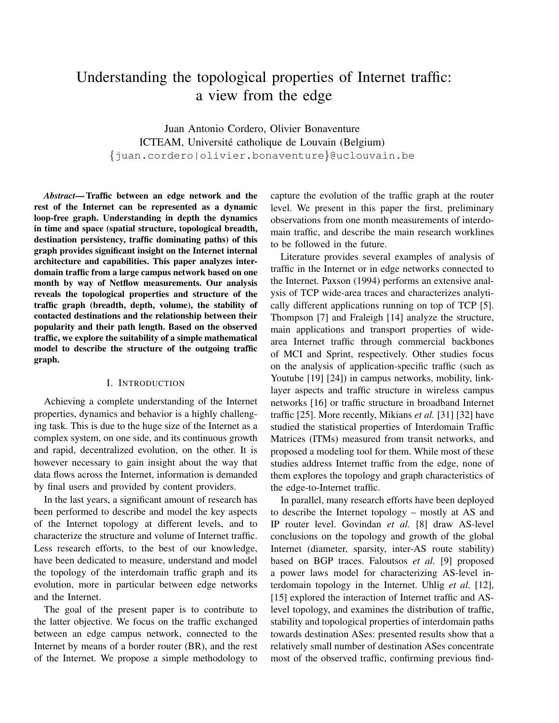# Understanding the topological properties of Internet traffic: a view from the edge

Juan Antonio Cordero, Olivier Bonaventure ICTEAM, Université catholique de Louvain (Belgium) {juan.cordero|olivier.bonaventure}@uclouvain.be

*Abstract*— Traffic between an edge network and the rest of the Internet can be represented as a dynamic loop-free graph. Understanding in depth the dynamics in time and space (spatial structure, topological breadth, destination persistency, traffic dominating paths) of this graph provides significant insight on the Internet internal architecture and capabilities. This paper analyzes interdomain traffic from a large campus network based on one month by way of Netflow measurements. Our analysis reveals the topological properties and structure of the traffic graph (breadth, depth, volume), the stability of contacted destinations and the relationship between their popularity and their path length. Based on the observed traffic, we explore the suitability of a simple mathematical model to describe the structure of the outgoing traffic graph.

#### I. INTRODUCTION

Achieving a complete understanding of the Internet properties, dynamics and behavior is a highly challenging task. This is due to the huge size of the Internet as a complex system, on one side, and its continuous growth and rapid, decentralized evolution, on the other. It is however necessary to gain insight about the way that data flows across the Internet, information is demanded by final users and provided by content providers.

In the last years, a significant amount of research has been performed to describe and model the key aspects of the Internet topology at different levels, and to characterize the structure and volume of Internet traffic. Less research efforts, to the best of our knowledge, have been dedicated to measure, understand and model the topology of the interdomain traffic graph and its evolution, more in particular between edge networks and the Internet.

The goal of the present paper is to contribute to the latter objective. We focus on the traffic exchanged between an edge campus network, connected to the Internet by means of a border router (BR), and the rest of the Internet. We propose a simple methodology to

capture the evolution of the traffic graph at the router level. We present in this paper the first, preliminary observations from one month measurements of interdomain traffic, and describe the main research worklines to be followed in the future.

Literature provides several examples of analysis of traffic in the Internet or in edge networks connected to the Internet. Paxson (1994) performs an extensive analysis of TCP wide-area traces and characterizes analytically different applications running on top of TCP [5]. Thompson [7] and Fraleigh [14] analyze the structure, main applications and transport properties of widearea Internet traffic through commercial backbones of MCI and Sprint, respectively. Other studies focus on the analysis of application-specific traffic (such as Youtube [19] [24]) in campus networks, mobility, linklayer aspects and traffic structure in wireless campus networks [16] or traffic structure in broadband Internet traffic [25]. More recently, Mikians *et al.* [31] [32] have studied the statistical properties of Interdomain Traffic Matrices (ITMs) measured from transit networks, and proposed a modeling tool for them. While most of these studies address Internet traffic from the edge, none of them explores the topology and graph characteristics of the edge-to-Internet traffic.

In parallel, many research efforts have been deployed to describe the Internet topology – mostly at AS and IP router level. Govindan *et al.* [8] draw AS-level conclusions on the topology and growth of the global Internet (diameter, sparsity, inter-AS route stability) based on BGP traces. Faloutsos *et al.* [9] proposed a power laws model for characterizing AS-level interdomain topology in the Internet. Uhlig *et al.* [12], [15] explored the interaction of Internet traffic and ASlevel topology, and examines the distribution of traffic, stability and topological properties of interdomain paths towards destination ASes: presented results show that a relatively small number of destination ASes concentrate most of the observed traffic, confirming previous find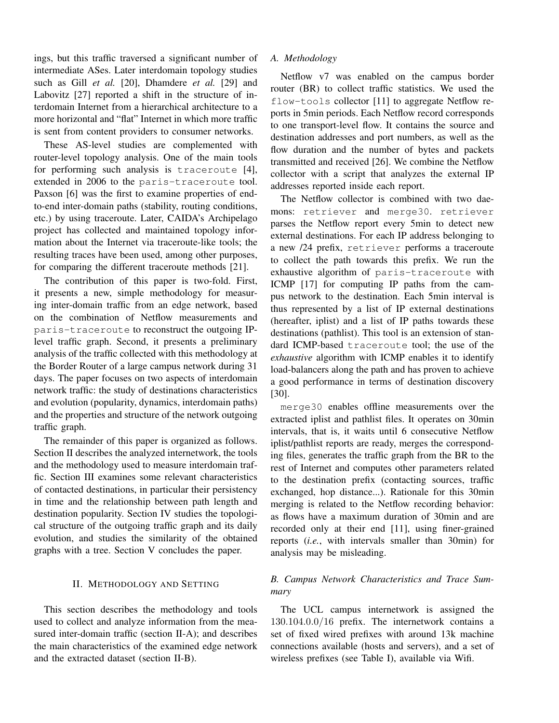ings, but this traffic traversed a significant number of intermediate ASes. Later interdomain topology studies such as Gill *et al.* [20], Dhamdere *et al.* [29] and Labovitz [27] reported a shift in the structure of interdomain Internet from a hierarchical architecture to a more horizontal and "flat" Internet in which more traffic is sent from content providers to consumer networks.

These AS-level studies are complemented with router-level topology analysis. One of the main tools for performing such analysis is traceroute [4], extended in 2006 to the paris-traceroute tool. Paxson [6] was the first to examine properties of endto-end inter-domain paths (stability, routing conditions, etc.) by using traceroute. Later, CAIDA's Archipelago project has collected and maintained topology information about the Internet via traceroute-like tools; the resulting traces have been used, among other purposes, for comparing the different traceroute methods [21].

The contribution of this paper is two-fold. First, it presents a new, simple methodology for measuring inter-domain traffic from an edge network, based on the combination of Netflow measurements and paris-traceroute to reconstruct the outgoing IPlevel traffic graph. Second, it presents a preliminary analysis of the traffic collected with this methodology at the Border Router of a large campus network during 31 days. The paper focuses on two aspects of interdomain network traffic: the study of destinations characteristics and evolution (popularity, dynamics, interdomain paths) and the properties and structure of the network outgoing traffic graph.

The remainder of this paper is organized as follows. Section II describes the analyzed internetwork, the tools and the methodology used to measure interdomain traffic. Section III examines some relevant characteristics of contacted destinations, in particular their persistency in time and the relationship between path length and destination popularity. Section IV studies the topological structure of the outgoing traffic graph and its daily evolution, and studies the similarity of the obtained graphs with a tree. Section V concludes the paper.

## II. METHODOLOGY AND SETTING

This section describes the methodology and tools used to collect and analyze information from the measured inter-domain traffic (section II-A); and describes the main characteristics of the examined edge network and the extracted dataset (section II-B).

### *A. Methodology*

Netflow v7 was enabled on the campus border router (BR) to collect traffic statistics. We used the flow-tools collector [11] to aggregate Netflow reports in 5min periods. Each Netflow record corresponds to one transport-level flow. It contains the source and destination addresses and port numbers, as well as the flow duration and the number of bytes and packets transmitted and received [26]. We combine the Netflow collector with a script that analyzes the external IP addresses reported inside each report.

The Netflow collector is combined with two daemons: retriever and merge30. retriever parses the Netflow report every 5min to detect new external destinations. For each IP address belonging to a new /24 prefix, retriever performs a traceroute to collect the path towards this prefix. We run the exhaustive algorithm of paris-traceroute with ICMP [17] for computing IP paths from the campus network to the destination. Each 5min interval is thus represented by a list of IP external destinations (hereafter, iplist) and a list of IP paths towards these destinations (pathlist). This tool is an extension of standard ICMP-based traceroute tool; the use of the *exhaustive* algorithm with ICMP enables it to identify load-balancers along the path and has proven to achieve a good performance in terms of destination discovery [30].

merge30 enables offline measurements over the extracted iplist and pathlist files. It operates on 30min intervals, that is, it waits until 6 consecutive Netflow iplist/pathlist reports are ready, merges the corresponding files, generates the traffic graph from the BR to the rest of Internet and computes other parameters related to the destination prefix (contacting sources, traffic exchanged, hop distance...). Rationale for this 30min merging is related to the Netflow recording behavior: as flows have a maximum duration of 30min and are recorded only at their end [11], using finer-grained reports (*i.e.*, with intervals smaller than 30min) for analysis may be misleading.

# *B. Campus Network Characteristics and Trace Summary*

The UCL campus internetwork is assigned the 130.104.0.0/16 prefix. The internetwork contains a set of fixed wired prefixes with around 13k machine connections available (hosts and servers), and a set of wireless prefixes (see Table I), available via Wifi.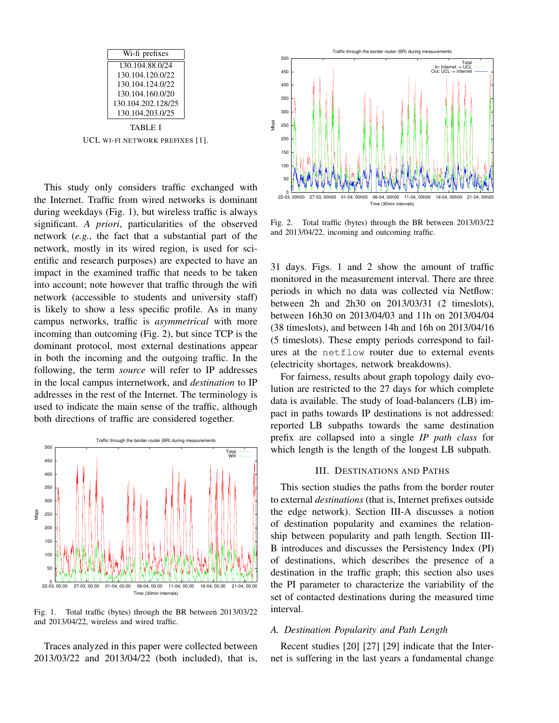| Wi-fi prefixes     |
|--------------------|
| 130.104.88.0/24    |
| 130.104.120.0/22   |
| 130.104.124.0/22   |
| 130.104.160.0/20   |
| 130.104.202.128/25 |
| 130.104.203.0/25   |

TABLE I UCL WI-FI NETWORK PREFIXES [1].

This study only considers traffic exchanged with the Internet. Traffic from wired networks is dominant during weekdays (Fig. 1), but wireless traffic is always significant. *A priori*, particularities of the observed network (*e.g.*, the fact that a substantial part of the network, mostly in its wired region, is used for scientific and research purposes) are expected to have an impact in the examined traffic that needs to be taken into account; note however that traffic through the wifi network (accessible to students and university staff) is likely to show a less specific profile. As in many campus networks, traffic is *asymmetrical* with more incoming than outcoming (Fig. 2), but since TCP is the dominant protocol, most external destinations appear in both the incoming and the outgoing traffic. In the following, the term *source* will refer to IP addresses in the local campus internetwork, and *destination* to IP addresses in the rest of the Internet. The terminology is used to indicate the main sense of the traffic, although both directions of traffic are considered together.



Fig. 1. Total traffic (bytes) through the BR between 2013/03/22 and 2013/04/22, wireless and wired traffic.

Traces analyzed in this paper were collected between 2013/03/22 and 2013/04/22 (both included), that is,



Fig. 2. Total traffic (bytes) through the BR between 2013/03/22 and 2013/04/22, incoming and outcoming traffic.

31 days. Figs. 1 and 2 show the amount of traffic monitored in the measurement interval. There are three periods in which no data was collected via Netflow: between 2h and 2h30 on 2013/03/31 (2 timeslots), between 16h30 on 2013/04/03 and 11h on 2013/04/04 (38 timeslots), and between 14h and 16h on 2013/04/16 (5 timeslots). These empty periods correspond to failures at the netflow router due to external events (electricity shortages, network breakdowns).

For fairness, results about graph topology daily evolution are restricted to the 27 days for which complete data is available. The study of load-balancers (LB) impact in paths towards IP destinations is not addressed: reported LB subpaths towards the same destination prefix are collapsed into a single *IP path class* for which length is the length of the longest LB subpath.

## III. DESTINATIONS AND PATHS

This section studies the paths from the border router to external *destinations* (that is, Internet prefixes outside the edge network). Section III-A discusses a notion of destination popularity and examines the relationship between popularity and path length. Section III-B introduces and discusses the Persistency Index (PI) of destinations, which describes the presence of a destination in the traffic graph; this section also uses the PI parameter to characterize the variability of the set of contacted destinations during the measured time interval.

## *A. Destination Popularity and Path Length*

Recent studies [20] [27] [29] indicate that the Internet is suffering in the last years a fundamental change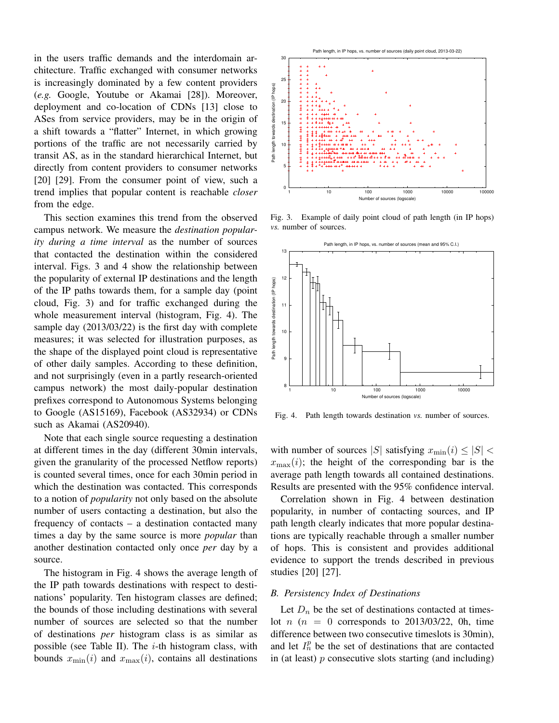in the users traffic demands and the interdomain architecture. Traffic exchanged with consumer networks is increasingly dominated by a few content providers (*e.g.* Google, Youtube or Akamai [28]). Moreover, deployment and co-location of CDNs [13] close to ASes from service providers, may be in the origin of a shift towards a "flatter" Internet, in which growing portions of the traffic are not necessarily carried by transit AS, as in the standard hierarchical Internet, but directly from content providers to consumer networks [20] [29]. From the consumer point of view, such a trend implies that popular content is reachable *closer* from the edge.

This section examines this trend from the observed campus network. We measure the *destination popularity during a time interval* as the number of sources that contacted the destination within the considered interval. Figs. 3 and 4 show the relationship between the popularity of external IP destinations and the length of the IP paths towards them, for a sample day (point cloud, Fig. 3) and for traffic exchanged during the whole measurement interval (histogram, Fig. 4). The sample day (2013/03/22) is the first day with complete measures; it was selected for illustration purposes, as the shape of the displayed point cloud is representative of other daily samples. According to these definition, and not surprisingly (even in a partly research-oriented campus network) the most daily-popular destination prefixes correspond to Autonomous Systems belonging to Google (AS15169), Facebook (AS32934) or CDNs such as Akamai (AS20940).

Note that each single source requesting a destination at different times in the day (different 30min intervals, given the granularity of the processed Netflow reports) is counted several times, once for each 30min period in which the destination was contacted. This corresponds to a notion of *popularity* not only based on the absolute number of users contacting a destination, but also the frequency of contacts – a destination contacted many times a day by the same source is more *popular* than another destination contacted only once *per* day by a source.

The histogram in Fig. 4 shows the average length of the IP path towards destinations with respect to destinations' popularity. Ten histogram classes are defined; the bounds of those including destinations with several number of sources are selected so that the number of destinations *per* histogram class is as similar as possible (see Table II). The  $i$ -th histogram class, with bounds  $x_{\min}(i)$  and  $x_{\max}(i)$ , contains all destinations

Path length, in IP hops, vs. number of sources (daily point cloud, 2013-03-22)



Fig. 3. Example of daily point cloud of path length (in IP hops) *vs.* number of sources.



Fig. 4. Path length towards destination *vs.* number of sources.

with number of sources |S| satisfying  $x_{\min}(i) \leq |S|$  <  $x_{\text{max}}(i)$ ; the height of the corresponding bar is the average path length towards all contained destinations. Results are presented with the 95% confidence interval.

Correlation shown in Fig. 4 between destination popularity, in number of contacting sources, and IP path length clearly indicates that more popular destinations are typically reachable through a smaller number of hops. This is consistent and provides additional evidence to support the trends described in previous studies [20] [27].

# *B. Persistency Index of Destinations*

Let  $D_n$  be the set of destinations contacted at timeslot  $n(n = 0$  corresponds to 2013/03/22, 0h, time difference between two consecutive timeslots is 30min), and let  $I_n^p$  be the set of destinations that are contacted in (at least)  $p$  consecutive slots starting (and including)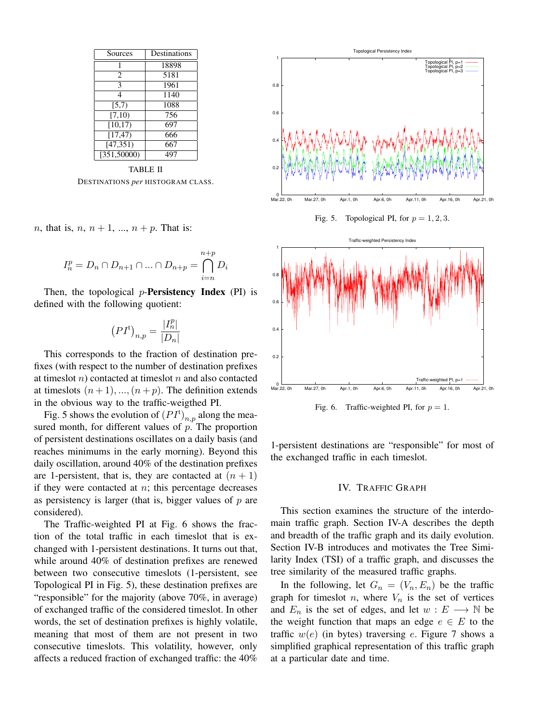| Sources      | Destinations |
|--------------|--------------|
|              | 18898        |
| 2            | 5181         |
| 3            | 1961         |
| Δ            | 1140         |
| (5,7)        | 1088         |
| (7,10)       | 756          |
| [10, 17)     | 697          |
| [17, 47)     | 666          |
| [47, 351]    | 667          |
| [351, 50000] | 497          |

TABLE II DESTINATIONS *per* HISTOGRAM CLASS.

*n*, that is,  $n, n+1, \ldots, n+p$ . That is:

$$
I_n^p = D_n \cap D_{n+1} \cap \dots \cap D_{n+p} = \bigcap_{i=n}^{n+p} D_i
$$

Then, the topological  $p$ -**Persistency Index** (PI) is defined with the following quotient:

$$
\left(PI^{\mathrm{t}}\right)_{n,p}=\frac{|I_{n}^{p}|}{|D_{n}|}
$$

This corresponds to the fraction of destination prefixes (with respect to the number of destination prefixes at timeslot  $n$ ) contacted at timeslot  $n$  and also contacted at timeslots  $(n + 1), ..., (n + p)$ . The definition extends in the obvious way to the traffic-weigthed PI.

Fig. 5 shows the evolution of  $(PI^{\dagger})_{n,p}$  along the measured month, for different values of  $\hat{p}$ . The proportion of persistent destinations oscillates on a daily basis (and reaches minimums in the early morning). Beyond this daily oscillation, around 40% of the destination prefixes are 1-persistent, that is, they are contacted at  $(n + 1)$ if they were contacted at  $n$ ; this percentage decreases as persistency is larger (that is, bigger values of  $p$  are considered).

The Traffic-weighted PI at Fig. 6 shows the fraction of the total traffic in each timeslot that is exchanged with 1-persistent destinations. It turns out that, while around 40% of destination prefixes are renewed between two consecutive timeslots (1-persistent, see Topological PI in Fig. 5), these destination prefixes are "responsible" for the majority (above 70%, in average) of exchanged traffic of the considered timeslot. In other words, the set of destination prefixes is highly volatile, meaning that most of them are not present in two consecutive timeslots. This volatility, however, only affects a reduced fraction of exchanged traffic: the 40%



Fig. 5. Topological PI, for  $p = 1, 2, 3$ .



Fig. 6. Traffic-weighted PI, for  $p = 1$ .

1-persistent destinations are "responsible" for most of the exchanged traffic in each timeslot.

## IV. TRAFFIC GRAPH

This section examines the structure of the interdomain traffic graph. Section IV-A describes the depth and breadth of the traffic graph and its daily evolution. Section IV-B introduces and motivates the Tree Similarity Index (TSI) of a traffic graph, and discusses the tree similarity of the measured traffic graphs.

In the following, let  $G_n = (V_n, E_n)$  be the traffic graph for timeslot *n*, where  $V_n$  is the set of vertices and  $E_n$  is the set of edges, and let  $w : E \longrightarrow \mathbb{N}$  be the weight function that maps an edge  $e \in E$  to the traffic  $w(e)$  (in bytes) traversing e. Figure 7 shows a simplified graphical representation of this traffic graph at a particular date and time.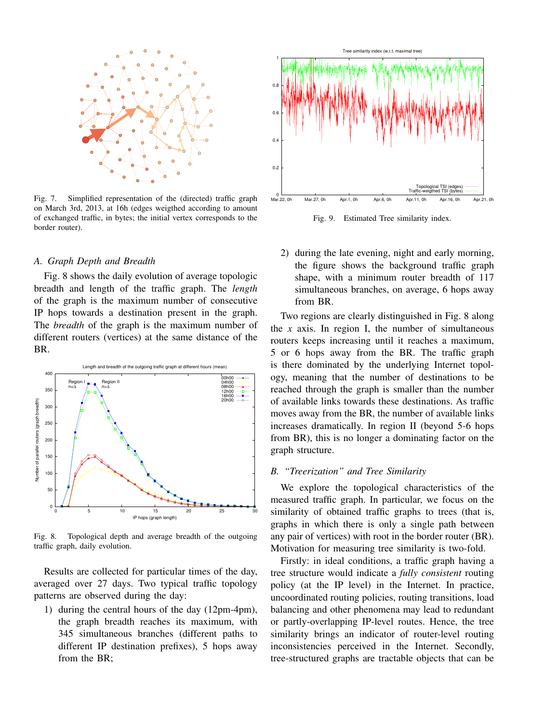

Fig. 7. Simplified representation of the (directed) traffic graph on March 3rd, 2013, at 16h (edges weigthed according to amount of exchanged traffic, in bytes; the initial vertex corresponds to the border router).

## *A. Graph Depth and Breadth*

Fig. 8 shows the daily evolution of average topologic breadth and length of the traffic graph. The *length* of the graph is the maximum number of consecutive IP hops towards a destination present in the graph. The *breadth* of the graph is the maximum number of different routers (vertices) at the same distance of the BR.



Fig. 8. Topological depth and average breadth of the outgoing traffic graph, daily evolution.

Results are collected for particular times of the day, averaged over 27 days. Two typical traffic topology patterns are observed during the day:

1) during the central hours of the day (12pm-4pm), the graph breadth reaches its maximum, with 345 simultaneous branches (different paths to different IP destination prefixes), 5 hops away from the BR;



Fig. 9. Estimated Tree similarity index.

2) during the late evening, night and early morning, the figure shows the background traffic graph shape, with a minimum router breadth of 117 simultaneous branches, on average, 6 hops away from BR.

Two regions are clearly distinguished in Fig. 8 along the  $x$  axis. In region I, the number of simultaneous routers keeps increasing until it reaches a maximum, 5 or 6 hops away from the BR. The traffic graph is there dominated by the underlying Internet topology, meaning that the number of destinations to be reached through the graph is smaller than the number of available links towards these destinations. As traffic moves away from the BR, the number of available links increases dramatically. In region II (beyond 5-6 hops from BR), this is no longer a dominating factor on the graph structure.

## *B. "Treerization" and Tree Similarity*

We explore the topological characteristics of the measured traffic graph. In particular, we focus on the similarity of obtained traffic graphs to trees (that is, graphs in which there is only a single path between any pair of vertices) with root in the border router (BR). Motivation for measuring tree similarity is two-fold.

Firstly: in ideal conditions, a traffic graph having a tree structure would indicate a *fully consistent* routing policy (at the IP level) in the Internet. In practice, uncoordinated routing policies, routing transitions, load balancing and other phenomena may lead to redundant or partly-overlapping IP-level routes. Hence, the tree similarity brings an indicator of router-level routing inconsistencies perceived in the Internet. Secondly, tree-structured graphs are tractable objects that can be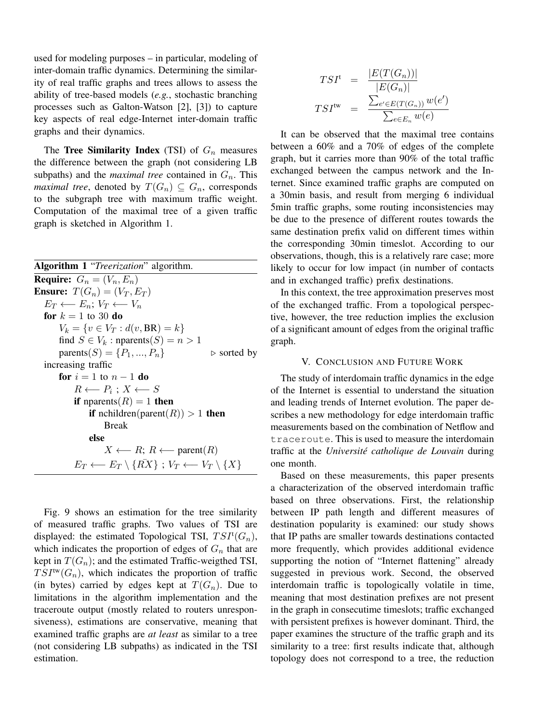used for modeling purposes – in particular, modeling of inter-domain traffic dynamics. Determining the similarity of real traffic graphs and trees allows to assess the ability of tree-based models (*e.g.*, stochastic branching processes such as Galton-Watson [2], [3]) to capture key aspects of real edge-Internet inter-domain traffic graphs and their dynamics.

The Tree Similarity Index (TSI) of  $G_n$  measures the difference between the graph (not considering LB subpaths) and the *maximal tree* contained in  $G_n$ . This *maximal tree*, denoted by  $T(G_n) \subseteq G_n$ , corresponds to the subgraph tree with maximum traffic weight. Computation of the maximal tree of a given traffic graph is sketched in Algorithm 1.

| <b>Algorithm 1</b> " <i>Treerization</i> " algorithm.                                |
|--------------------------------------------------------------------------------------|
| <b>Require:</b> $G_n = (V_n, E_n)$                                                   |
| <b>Ensure:</b> $T(G_n) = (V_T, E_T)$                                                 |
| $E_T \longleftarrow E_n; V_T \longleftarrow V_n$                                     |
| for $k = 1$ to 30 do                                                                 |
| $V_k = \{v \in V_T : d(v, BR) = k\}$                                                 |
| find $S \in V_k$ : nparents $(S) = n > 1$                                            |
| parents $(S) = \{P_1, , P_n\}$<br>$\triangleright$ sorted by                         |
| increasing traffic                                                                   |
| for $i=1$ to $n-1$ do                                                                |
| $R \leftarrow P_i : X \leftarrow S$                                                  |
| if nparents $(R) = 1$ then                                                           |
| <b>if</b> nchildren(parent(R)) > 1 <b>then</b>                                       |
| <b>Break</b>                                                                         |
| else                                                                                 |
| $X \leftarrow R$ ; $R \leftarrow$ parent(R)                                          |
| $E_T \longleftarrow E_T \setminus \{RX\}$ ; $V_T \longleftarrow V_T \setminus \{X\}$ |

Fig. 9 shows an estimation for the tree similarity of measured traffic graphs. Two values of TSI are displayed: the estimated Topological TSI,  $TST^{\dagger}(G_n)$ , which indicates the proportion of edges of  $G_n$  that are kept in  $T(G_n)$ ; and the estimated Traffic-weigthed TSI,  $TST^{tw}(G_n)$ , which indicates the proportion of traffic (in bytes) carried by edges kept at  $T(G_n)$ . Due to limitations in the algorithm implementation and the traceroute output (mostly related to routers unresponsiveness), estimations are conservative, meaning that examined traffic graphs are *at least* as similar to a tree (not considering LB subpaths) as indicated in the TSI estimation.

$$
TSI^{t} = \frac{|E(T(G_{n}))|}{|E(G_{n})|}
$$

$$
TSI^{tw} = \frac{\sum_{e' \in E(T(G_{n}))} w(e')}{\sum_{e \in E_{n}} w(e)}
$$

It can be observed that the maximal tree contains between a 60% and a 70% of edges of the complete graph, but it carries more than 90% of the total traffic exchanged between the campus network and the Internet. Since examined traffic graphs are computed on a 30min basis, and result from merging 6 individual 5min traffic graphs, some routing inconsistencies may be due to the presence of different routes towards the same destination prefix valid on different times within the corresponding 30min timeslot. According to our observations, though, this is a relatively rare case; more likely to occur for low impact (in number of contacts and in exchanged traffic) prefix destinations.

In this context, the tree approximation preserves most of the exchanged traffic. From a topological perspective, however, the tree reduction implies the exclusion of a significant amount of edges from the original traffic graph.

## V. CONCLUSION AND FUTURE WORK

The study of interdomain traffic dynamics in the edge of the Internet is essential to understand the situation and leading trends of Internet evolution. The paper describes a new methodology for edge interdomain traffic measurements based on the combination of Netflow and traceroute. This is used to measure the interdomain traffic at the *Université catholique de Louvain* during one month.

Based on these measurements, this paper presents a characterization of the observed interdomain traffic based on three observations. First, the relationship between IP path length and different measures of destination popularity is examined: our study shows that IP paths are smaller towards destinations contacted more frequently, which provides additional evidence supporting the notion of "Internet flattening" already suggested in previous work. Second, the observed interdomain traffic is topologically volatile in time, meaning that most destination prefixes are not present in the graph in consecutime timeslots; traffic exchanged with persistent prefixes is however dominant. Third, the paper examines the structure of the traffic graph and its similarity to a tree: first results indicate that, although topology does not correspond to a tree, the reduction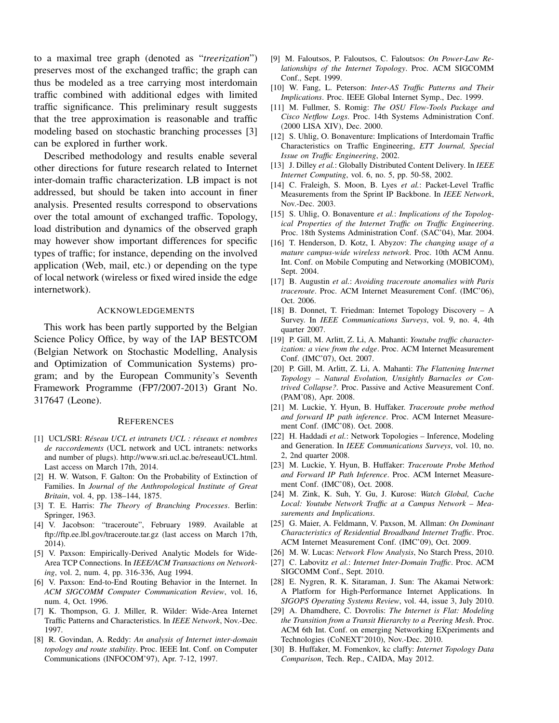to a maximal tree graph (denoted as "*treerization*") preserves most of the exchanged traffic; the graph can thus be modeled as a tree carrying most interdomain traffic combined with additional edges with limited traffic significance. This preliminary result suggests that the tree approximation is reasonable and traffic modeling based on stochastic branching processes [3] can be explored in further work.

Described methodology and results enable several other directions for future research related to Internet inter-domain traffic characterization. LB impact is not addressed, but should be taken into account in finer analysis. Presented results correspond to observations over the total amount of exchanged traffic. Topology, load distribution and dynamics of the observed graph may however show important differences for specific types of traffic; for instance, depending on the involved application (Web, mail, etc.) or depending on the type of local network (wireless or fixed wired inside the edge internetwork).

#### ACKNOWLEDGEMENTS

This work has been partly supported by the Belgian Science Policy Office, by way of the IAP BESTCOM (Belgian Network on Stochastic Modelling, Analysis and Optimization of Communication Systems) program; and by the European Community's Seventh Framework Programme (FP7/2007-2013) Grant No. 317647 (Leone).

#### **REFERENCES**

- [1] UCL/SRI: *Reseau UCL et intranets UCL : r ´ eseaux et nombres ´ de raccordements* (UCL network and UCL intranets: networks and number of plugs). http://www.sri.ucl.ac.be/reseauUCL.html. Last access on March 17th, 2014.
- [2] H. W. Watson, F. Galton: On the Probability of Extinction of Families. In *Journal of the Anthropological Institute of Great Britain*, vol. 4, pp. 138–144, 1875.
- [3] T. E. Harris: *The Theory of Branching Processes*. Berlin: Springer, 1963.
- [4] V. Jacobson: "traceroute", February 1989. Available at ftp://ftp.ee.lbl.gov/traceroute.tar.gz (last access on March 17th, 2014).
- [5] V. Paxson: Empirically-Derived Analytic Models for Wide-Area TCP Connections. In *IEEE/ACM Transactions on Networking*, vol. 2, num. 4, pp. 316-336, Aug 1994.
- [6] V. Paxson: End-to-End Routing Behavior in the Internet. In *ACM SIGCOMM Computer Communication Review*, vol. 16, num. 4, Oct. 1996.
- [7] K. Thompson, G. J. Miller, R. Wilder: Wide-Area Internet Traffic Patterns and Characteristics. In *IEEE Network*, Nov.-Dec. 1997.
- [8] R. Govindan, A. Reddy: *An analysis of Internet inter-domain topology and route stability*. Proc. IEEE Int. Conf. on Computer Communications (INFOCOM'97), Apr. 7-12, 1997.
- [9] M. Faloutsos, P. Faloutsos, C. Faloutsos: *On Power-Law Relationships of the Internet Topology*. Proc. ACM SIGCOMM Conf., Sept. 1999.
- [10] W. Fang, L. Peterson: *Inter-AS Traffic Patterns and Their Implications*. Proc. IEEE Global Internet Symp., Dec. 1999.
- [11] M. Fullmer, S. Romig: *The OSU Flow-Tools Package and Cisco Netflow Logs*. Proc. 14th Systems Administration Conf. (2000 LISA XIV), Dec. 2000.
- [12] S. Uhlig, O. Bonaventure: Implications of Interdomain Traffic Characteristics on Traffic Engineering, *ETT Journal, Special Issue on Traffic Engineering*, 2002.
- [13] J. Dilley *et al.*: Globally Distributed Content Delivery. In *IEEE Internet Computing*, vol. 6, no. 5, pp. 50-58, 2002.
- [14] C. Fraleigh, S. Moon, B. Lyes *et al.*: Packet-Level Traffic Measurements from the Sprint IP Backbone. In *IEEE Network*, Nov.-Dec. 2003.
- [15] S. Uhlig, O. Bonaventure *et al.*: *Implications of the Topological Properties of the Internet Traffic on Traffic Engineering*. Proc. 18th Systems Administration Conf. (SAC'04), Mar. 2004.
- [16] T. Henderson, D. Kotz, I. Abyzov: *The changing usage of a mature campus-wide wireless network*. Proc. 10th ACM Annu. Int. Conf. on Mobile Computing and Networking (MOBICOM), Sept. 2004.
- [17] B. Augustin *et al.*: *Avoiding traceroute anomalies with Paris traceroute*. Proc. ACM Internet Measurement Conf. (IMC'06), Oct. 2006.
- [18] B. Donnet, T. Friedman: Internet Topology Discovery A Survey. In *IEEE Communications Surveys*, vol. 9, no. 4, 4th quarter 2007.
- [19] P. Gill, M. Arlitt, Z. Li, A. Mahanti: *Youtube traffic characterization: a view from the edge*. Proc. ACM Internet Measurement Conf. (IMC'07), Oct. 2007.
- [20] P. Gill, M. Arlitt, Z. Li, A. Mahanti: *The Flattening Internet Topology – Natural Evolution, Unsightly Barnacles or Contrived Collapse?*. Proc. Passive and Active Measurement Conf. (PAM'08), Apr. 2008.
- [21] M. Luckie, Y. Hyun, B. Huffaker. *Traceroute probe method and forward IP path inference*. Proc. ACM Internet Measurement Conf. (IMC'08). Oct. 2008.
- [22] H. Haddadi *et al.*: Network Topologies Inference, Modeling and Generation. In *IEEE Communications Surveys*, vol. 10, no. 2, 2nd quarter 2008.
- [23] M. Luckie, Y. Hyun, B. Huffaker: *Traceroute Probe Method and Forward IP Path Inference*. Proc. ACM Internet Measurement Conf. (IMC'08), Oct. 2008.
- [24] M. Zink, K. Suh, Y. Gu, J. Kurose: *Watch Global, Cache Local: Youtube Network Traffic at a Campus Network – Measurements and Implications*.
- [25] G. Maier, A. Feldmann, V. Paxson, M. Allman: *On Dominant Characteristics of Residential Broadband Internet Traffic*. Proc. ACM Internet Measurement Conf. (IMC'09), Oct. 2009.
- [26] M. W. Lucas: *Network Flow Analysis*, No Starch Press, 2010.
- [27] C. Labovitz *et al.*: *Internet Inter-Domain Traffic*. Proc. ACM SIGCOMM Conf., Sept. 2010.
- [28] E. Nygren, R. K. Sitaraman, J. Sun: The Akamai Network: A Platform for High-Performance Internet Applications. In *SIGOPS Operating Systems Review*, vol. 44, issue 3, July 2010.
- [29] A. Dhamdhere, C. Dovrolis: *The Internet is Flat: Modeling the Transition from a Transit Hierarchy to a Peering Mesh*. Proc. ACM 6th Int. Conf. on emerging Networking EXperiments and Technologies (CoNEXT'2010), Nov.-Dec. 2010.
- [30] B. Huffaker, M. Fomenkov, kc claffy: *Internet Topology Data Comparison*, Tech. Rep., CAIDA, May 2012.